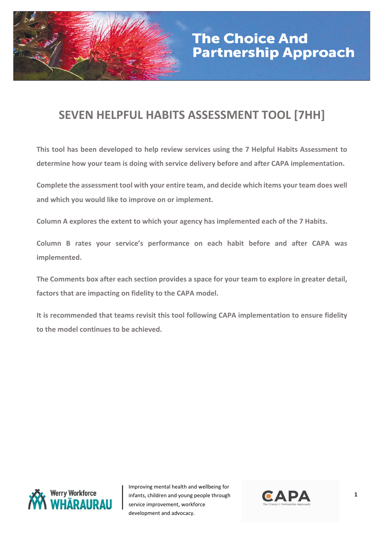

#### **SEVEN HELPFUL HABITS ASSESSMENT TOOL [7HH]**

**This tool has been developed to help review services using the 7 Helpful Habits Assessment to determine how your team is doing with service delivery before and after CAPA implementation.** 

**Complete the assessment tool with your entire team, and decide which items your team does well and which you would like to improve on or implement.**

**Column A explores the extent to which your agency has implemented each of the 7 Habits.**

**Column B rates your service's performance on each habit before and after CAPA was implemented.**

**The Comments box after each section provides a space for your team to explore in greater detail, factors that are impacting on fidelity to the CAPA model.** 

**It is recommended that teams revisit this tool following CAPA implementation to ensure fidelity to the model continues to be achieved.**



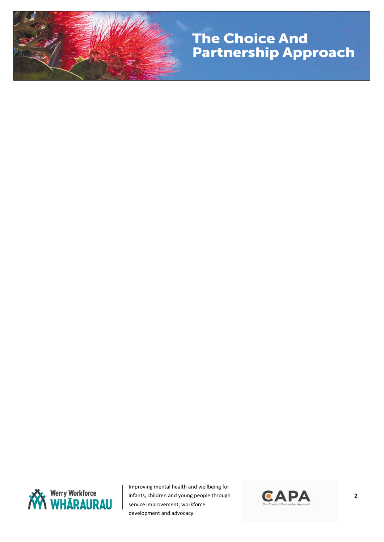



Improving mental health and wellbeing for infants, children and young people through service improvement, workforce development and advocacy.

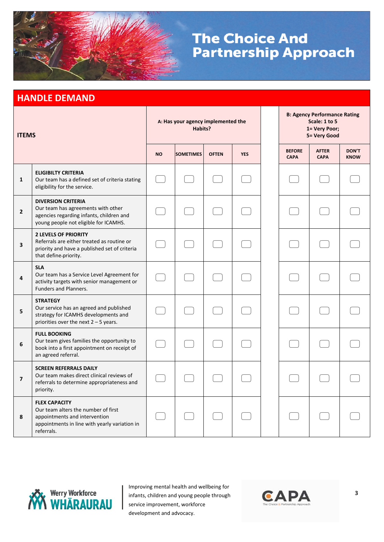

#### **HANDLE DEMAND**

| <b>ITEMS</b>   |                                                                                                                                                             |  | A: Has your agency implemented the<br>Habits? |              |            | <b>B: Agency Performance Rating</b><br>Scale: 1 to 5<br>1= Very Poor;<br>5= Very Good |                             |                      |  |
|----------------|-------------------------------------------------------------------------------------------------------------------------------------------------------------|--|-----------------------------------------------|--------------|------------|---------------------------------------------------------------------------------------|-----------------------------|----------------------|--|
|                |                                                                                                                                                             |  | <b>SOMETIMES</b>                              | <b>OFTEN</b> | <b>YES</b> | <b>BEFORE</b><br><b>CAPA</b>                                                          | <b>AFTER</b><br><b>CAPA</b> | DON'T<br><b>KNOW</b> |  |
| $\mathbf{1}$   | <b>ELIGIBILTY CRITERIA</b><br>Our team has a defined set of criteria stating<br>eligibility for the service.                                                |  |                                               |              |            |                                                                                       |                             |                      |  |
| $\overline{2}$ | <b>DIVERSION CRITERIA</b><br>Our team has agreements with other<br>agencies regarding infants, children and<br>young people not eligible for ICAMHS.        |  |                                               |              |            |                                                                                       |                             |                      |  |
| 3              | <b>2 LEVELS OF PRIORITY</b><br>Referrals are either treated as routine or<br>priority and have a published set of criteria<br>that define-priority.         |  |                                               |              |            |                                                                                       |                             |                      |  |
| 4              | <b>SLA</b><br>Our team has a Service Level Agreement for<br>activity targets with senior management or<br>Funders and Planners.                             |  |                                               |              |            |                                                                                       |                             |                      |  |
| 5              | <b>STRATEGY</b><br>Our service has an agreed and published<br>strategy for ICAMHS developments and<br>priorities over the next $2 - 5$ years.               |  |                                               |              |            |                                                                                       |                             |                      |  |
| 6              | <b>FULL BOOKING</b><br>Our team gives families the opportunity to<br>book into a first appointment on receipt of<br>an agreed referral.                     |  |                                               |              |            |                                                                                       |                             |                      |  |
| $\overline{7}$ | <b>SCREEN REFERRALS DAILY</b><br>Our team makes direct clinical reviews of<br>referrals to determine appropriateness and<br>priority.                       |  |                                               |              |            |                                                                                       |                             |                      |  |
| 8              | <b>FLEX CAPACITY</b><br>Our team alters the number of first<br>appointments and intervention<br>appointments in line with yearly variation in<br>referrals. |  |                                               |              |            |                                                                                       |                             |                      |  |



Improving mental health and wellbeing for infants, children and young people through service improvement, workforce development and advocacy.

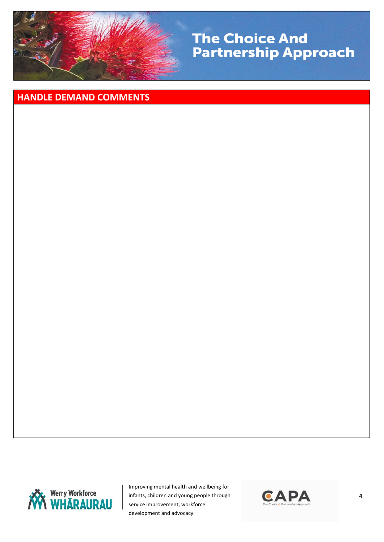

#### **HANDLE DEMAND COMMENTS**



Improving mental health and wellbeing for infants, children and young people through service improvement, workforce development and advocacy.

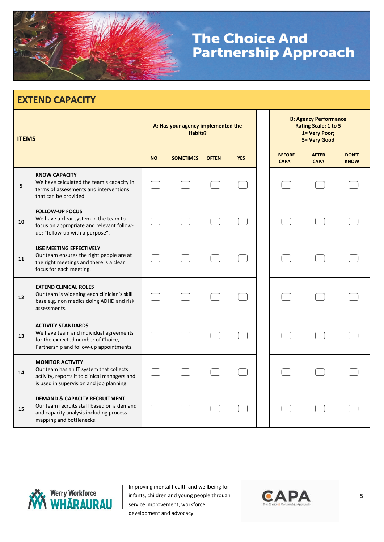| <b>EXTEND CAPACITY</b> |                                                                                                                                                                 |           |                                               |              |                                                                                                     |  |                              |                             |                             |  |  |  |
|------------------------|-----------------------------------------------------------------------------------------------------------------------------------------------------------------|-----------|-----------------------------------------------|--------------|-----------------------------------------------------------------------------------------------------|--|------------------------------|-----------------------------|-----------------------------|--|--|--|
| <b>ITEMS</b>           |                                                                                                                                                                 |           | A: Has your agency implemented the<br>Habits? |              | <b>B: Agency Performance</b><br><b>Rating Scale: 1 to 5</b><br>1= Very Poor;<br><b>5= Very Good</b> |  |                              |                             |                             |  |  |  |
|                        |                                                                                                                                                                 | <b>NO</b> | <b>SOMETIMES</b>                              | <b>OFTEN</b> | <b>YES</b>                                                                                          |  | <b>BEFORE</b><br><b>CAPA</b> | <b>AFTER</b><br><b>CAPA</b> | <b>DON'T</b><br><b>KNOW</b> |  |  |  |
| 9                      | <b>KNOW CAPACITY</b><br>We have calculated the team's capacity in<br>terms of assessments and interventions<br>that can be provided.                            |           |                                               |              |                                                                                                     |  |                              |                             |                             |  |  |  |
| 10                     | <b>FOLLOW-UP FOCUS</b><br>We have a clear system in the team to<br>focus on appropriate and relevant follow-<br>up: "follow-up with a purpose".                 |           |                                               |              |                                                                                                     |  |                              |                             |                             |  |  |  |
| 11                     | <b>USE MEETING EFFECTIVELY</b><br>Our team ensures the right people are at<br>the right meetings and there is a clear<br>focus for each meeting.                |           |                                               |              |                                                                                                     |  |                              |                             |                             |  |  |  |
| 12                     | <b>EXTEND CLINICAL ROLES</b><br>Our team is widening each clinician's skill<br>base e.g. non medics doing ADHD and risk<br>assessments.                         |           |                                               |              |                                                                                                     |  |                              |                             |                             |  |  |  |
| 13                     | <b>ACTIVITY STANDARDS</b><br>We have team and individual agreements<br>for the expected number of Choice,<br>Partnership and follow-up appointments.            |           |                                               |              |                                                                                                     |  |                              |                             |                             |  |  |  |
| 14                     | <b>MONITOR ACTIVITY</b><br>Our team has an IT system that collects<br>activity, reports it to clinical managers and<br>is used in supervision and job planning. |           |                                               |              |                                                                                                     |  |                              |                             |                             |  |  |  |
| 15                     | <b>DEMAND &amp; CAPACITY RECRUITMENT</b><br>Our team recruits staff based on a demand<br>and capacity analysis including process<br>mapping and bottlenecks.    |           |                                               |              |                                                                                                     |  |                              |                             |                             |  |  |  |



Improving mental health and wellbeing for infants, children and young people through service improvement, workforce development and advocacy.

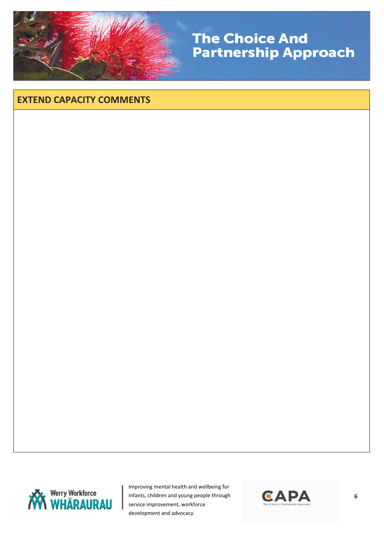

#### **EXTEND CAPACITY COMMENTS**



Improving mental health and wellbeing for infants, children and young people through service improvement, workforce development and advocacy.

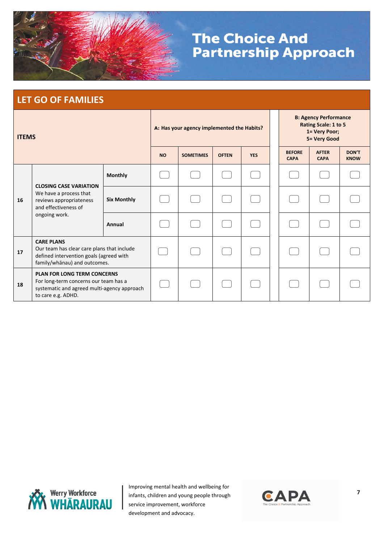

| LET GO OF FAMILIES |                                                                                                                                                  |                    |                                            |  |              |                                                                                       |  |                              |                             |                             |  |  |
|--------------------|--------------------------------------------------------------------------------------------------------------------------------------------------|--------------------|--------------------------------------------|--|--------------|---------------------------------------------------------------------------------------|--|------------------------------|-----------------------------|-----------------------------|--|--|
| <b>ITEMS</b>       |                                                                                                                                                  |                    | A: Has your agency implemented the Habits? |  |              | <b>B: Agency Performance</b><br>Rating Scale: 1 to 5<br>1= Very Poor;<br>5= Very Good |  |                              |                             |                             |  |  |
|                    |                                                                                                                                                  |                    |                                            |  | <b>OFTEN</b> | <b>YES</b>                                                                            |  | <b>BEFORE</b><br><b>CAPA</b> | <b>AFTER</b><br><b>CAPA</b> | <b>DON'T</b><br><b>KNOW</b> |  |  |
| 16                 | <b>CLOSING CASE VARIATION</b><br>We have a process that<br>reviews appropriateness<br>and effectiveness of                                       | <b>Monthly</b>     |                                            |  |              |                                                                                       |  |                              |                             |                             |  |  |
|                    |                                                                                                                                                  | <b>Six Monthly</b> |                                            |  |              |                                                                                       |  |                              |                             |                             |  |  |
|                    | ongoing work.                                                                                                                                    | Annual             |                                            |  |              |                                                                                       |  |                              |                             |                             |  |  |
| 17                 | <b>CARE PLANS</b><br>Our team has clear care plans that include<br>defined intervention goals (agreed with<br>family/whanau) and outcomes.       |                    |                                            |  |              |                                                                                       |  |                              |                             |                             |  |  |
| 18                 | <b>PLAN FOR LONG TERM CONCERNS</b><br>For long-term concerns our team has a<br>systematic and agreed multi-agency approach<br>to care e.g. ADHD. |                    |                                            |  |              |                                                                                       |  |                              |                             |                             |  |  |



Improving mental health and wellbeing for infants, children and young people through service improvement, workforce development and advocacy.

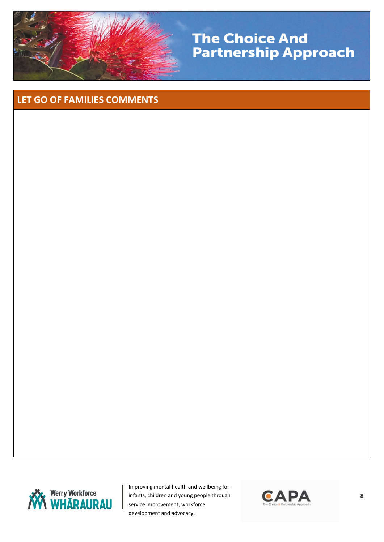

#### **LET GO OF FAMILIES COMMENTS**



Improving mental health and wellbeing for infants, children and young people through service improvement, workforce development and advocacy.

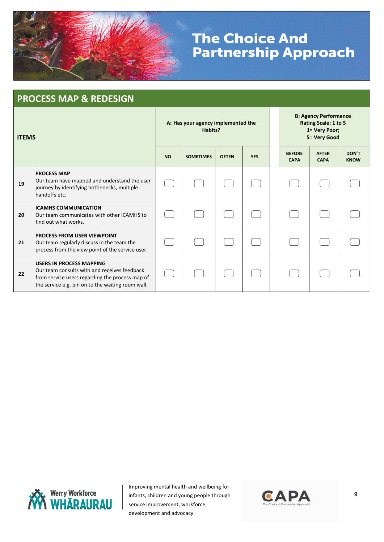

| <b>PROCESS MAP &amp; REDESIGN</b> |                                                                                                                                                                                         |           |                                               |              |                                                                                       |  |                              |                             |                             |  |  |
|-----------------------------------|-----------------------------------------------------------------------------------------------------------------------------------------------------------------------------------------|-----------|-----------------------------------------------|--------------|---------------------------------------------------------------------------------------|--|------------------------------|-----------------------------|-----------------------------|--|--|
| <b>ITEMS</b>                      |                                                                                                                                                                                         |           | A: Has your agency implemented the<br>Habits? |              | <b>B: Agency Performance</b><br>Rating Scale: 1 to 5<br>1= Very Poor;<br>5= Very Good |  |                              |                             |                             |  |  |
|                                   |                                                                                                                                                                                         | <b>NO</b> | <b>SOMETIMES</b>                              | <b>OFTEN</b> | <b>YES</b>                                                                            |  | <b>BEFORE</b><br><b>CAPA</b> | <b>AFTER</b><br><b>CAPA</b> | <b>DON'T</b><br><b>KNOW</b> |  |  |
| 19                                | <b>PROCESS MAP</b><br>Our team have mapped and understand the user<br>journey by identifying bottlenecks, multiple<br>handoffs etc.                                                     |           |                                               |              |                                                                                       |  |                              |                             |                             |  |  |
| 20                                | <b>ICAMHS COMMUNICATION</b><br>Our team communicates with other ICAMHS to<br>find out what works.                                                                                       |           |                                               |              |                                                                                       |  |                              |                             |                             |  |  |
| 21                                | <b>PROCESS FROM USER VIEWPOINT</b><br>Our team regularly discuss in the team the<br>process from the view point of the service user.                                                    |           |                                               |              |                                                                                       |  |                              |                             |                             |  |  |
| 22                                | <b>USERS IN PROCESS MAPPING</b><br>Our team consults with and receives feedback<br>from service users regarding the process map of<br>the service e.g. pin on to the waiting room wall. |           |                                               |              |                                                                                       |  |                              |                             |                             |  |  |



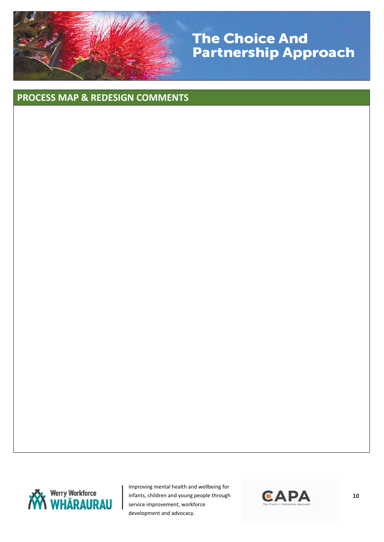

**PROCESS MAP & REDESIGN COMMENTS**



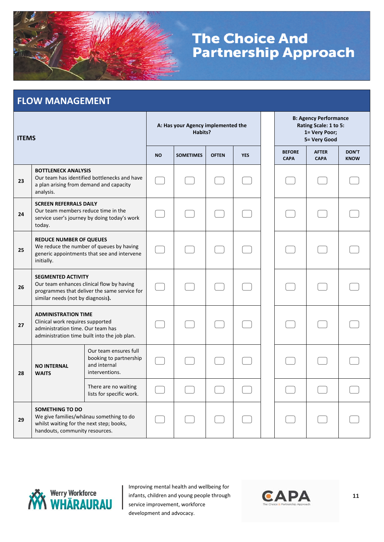#### **FLOW MANAGEMENT**

| <b>ITEMS</b> |                                                                                                                                |                                                                                         |           | A: Has your Agency implemented the<br>Habits? |              |            |                              | <b>B: Agency Performance</b><br>Rating Scale: 1 to 5:<br>1= Very Poor;<br>5= Very Good |                             |
|--------------|--------------------------------------------------------------------------------------------------------------------------------|-----------------------------------------------------------------------------------------|-----------|-----------------------------------------------|--------------|------------|------------------------------|----------------------------------------------------------------------------------------|-----------------------------|
|              |                                                                                                                                |                                                                                         | <b>NO</b> | <b>SOMETIMES</b>                              | <b>OFTEN</b> | <b>YES</b> | <b>BEFORE</b><br><b>CAPA</b> | <b>AFTER</b><br><b>CAPA</b>                                                            | <b>DON'T</b><br><b>KNOW</b> |
| 23           | <b>BOTTLENECK ANALYSIS</b><br>a plan arising from demand and capacity<br>analysis.                                             | Our team has identified bottlenecks and have                                            |           |                                               |              |            |                              |                                                                                        |                             |
| 24           | <b>SCREEN REFERRALS DAILY</b><br>Our team members reduce time in the<br>service user's journey by doing today's work<br>today. |                                                                                         |           |                                               |              |            |                              |                                                                                        |                             |
| 25           | <b>REDUCE NUMBER OF QUEUES</b><br>initially.                                                                                   | We reduce the number of queues by having<br>generic appointments that see and intervene |           |                                               |              |            |                              |                                                                                        |                             |
| 26           | <b>SEGMENTED ACTIVITY</b><br>Our team enhances clinical flow by having<br>similar needs (not by diagnosis).                    | programmes that deliver the same service for                                            |           |                                               |              |            |                              |                                                                                        |                             |
| 27           | <b>ADMINISTRATION TIME</b><br>Clinical work requires supported<br>administration time. Our team has                            | administration time built into the job plan.                                            |           |                                               |              |            |                              |                                                                                        |                             |
| 28           | <b>NO INTERNAL</b><br><b>WAITS</b>                                                                                             | Our team ensures full<br>booking to partnership<br>and internal<br>interventions.       |           |                                               |              |            |                              |                                                                                        |                             |
|              |                                                                                                                                | There are no waiting<br>lists for specific work.                                        |           |                                               |              |            |                              |                                                                                        |                             |
| 29           | <b>SOMETHING TO DO</b><br>whilst waiting for the next step; books,<br>handouts, community resources.                           | We give families/whanau something to do                                                 |           |                                               |              |            |                              |                                                                                        |                             |



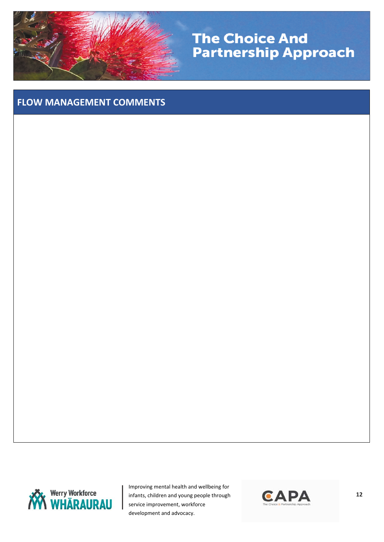

#### **FLOW MANAGEMENT COMMENTS**



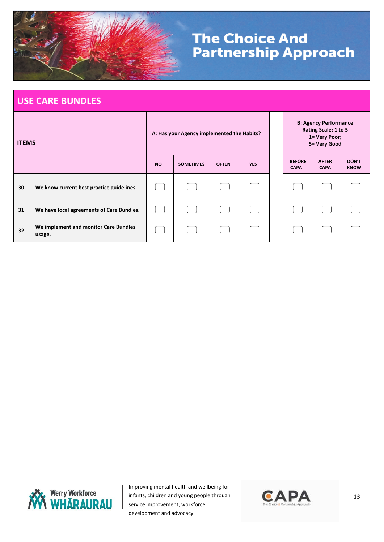

|              | <b>USE CARE BUNDLES</b>                         |           |                                            |              |            |  |                                                                                       |                             |                      |  |  |  |  |
|--------------|-------------------------------------------------|-----------|--------------------------------------------|--------------|------------|--|---------------------------------------------------------------------------------------|-----------------------------|----------------------|--|--|--|--|
| <b>ITEMS</b> |                                                 |           | A: Has your Agency implemented the Habits? |              |            |  | <b>B: Agency Performance</b><br>Rating Scale: 1 to 5<br>1= Very Poor;<br>5= Very Good |                             |                      |  |  |  |  |
|              |                                                 | <b>NO</b> | <b>SOMETIMES</b>                           | <b>OFTEN</b> | <b>YES</b> |  | <b>BEFORE</b><br><b>CAPA</b>                                                          | <b>AFTER</b><br><b>CAPA</b> | DON'T<br><b>KNOW</b> |  |  |  |  |
| 30           | We know current best practice guidelines.       |           |                                            |              |            |  |                                                                                       |                             |                      |  |  |  |  |
| 31           | We have local agreements of Care Bundles.       |           |                                            |              |            |  |                                                                                       |                             |                      |  |  |  |  |
| 32           | We implement and monitor Care Bundles<br>usage. |           |                                            |              |            |  |                                                                                       |                             |                      |  |  |  |  |



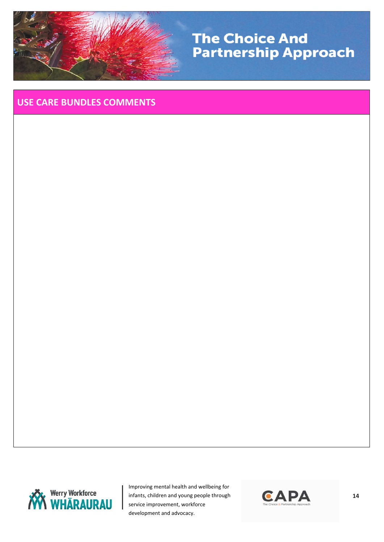

#### **USE CARE BUNDLES COMMENTS**



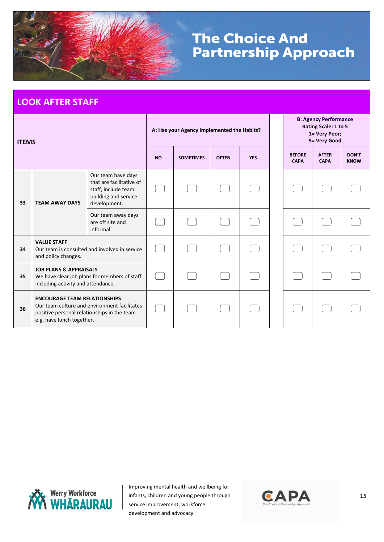| <b>ITEMS</b> |                                                                                                                                                                 |                                                                                                               | A: Has your Agency implemented the Habits? |                  |              | <b>B: Agency Performance</b><br>Rating Scale: 1 to 5<br>1= Very Poor;<br>5= Very Good |                                                             |  |                      |
|--------------|-----------------------------------------------------------------------------------------------------------------------------------------------------------------|---------------------------------------------------------------------------------------------------------------|--------------------------------------------|------------------|--------------|---------------------------------------------------------------------------------------|-------------------------------------------------------------|--|----------------------|
|              |                                                                                                                                                                 |                                                                                                               | <b>NO</b>                                  | <b>SOMETIMES</b> | <b>OFTEN</b> | <b>YES</b>                                                                            | <b>AFTER</b><br><b>BEFORE</b><br><b>CAPA</b><br><b>CAPA</b> |  | DON'T<br><b>KNOW</b> |
| 33           | <b>TEAM AWAY DAYS</b>                                                                                                                                           | Our team have days<br>that are facilitative of<br>staff, include team<br>building and service<br>development. |                                            |                  |              |                                                                                       |                                                             |  |                      |
|              |                                                                                                                                                                 | Our team away days<br>are off site and<br>informal.                                                           |                                            |                  |              |                                                                                       |                                                             |  |                      |
| 34           | <b>VALUE STAFF</b><br>and policy changes.                                                                                                                       | Our team is consulted and involved in service                                                                 |                                            |                  |              |                                                                                       |                                                             |  |                      |
| 35           | <b>JOB PLANS &amp; APPRAISALS</b><br>We have clear job plans for members of staff<br>including activity and attendance.                                         |                                                                                                               |                                            |                  |              |                                                                                       |                                                             |  |                      |
| 36           | <b>ENCOURAGE TEAM RELATIONSHIPS</b><br>Our team culture and environment facilitates<br>positive personal relationships in the team<br>e.g. have lunch together. |                                                                                                               |                                            |                  |              |                                                                                       |                                                             |  |                      |



**LOOK AFTER STAFF**